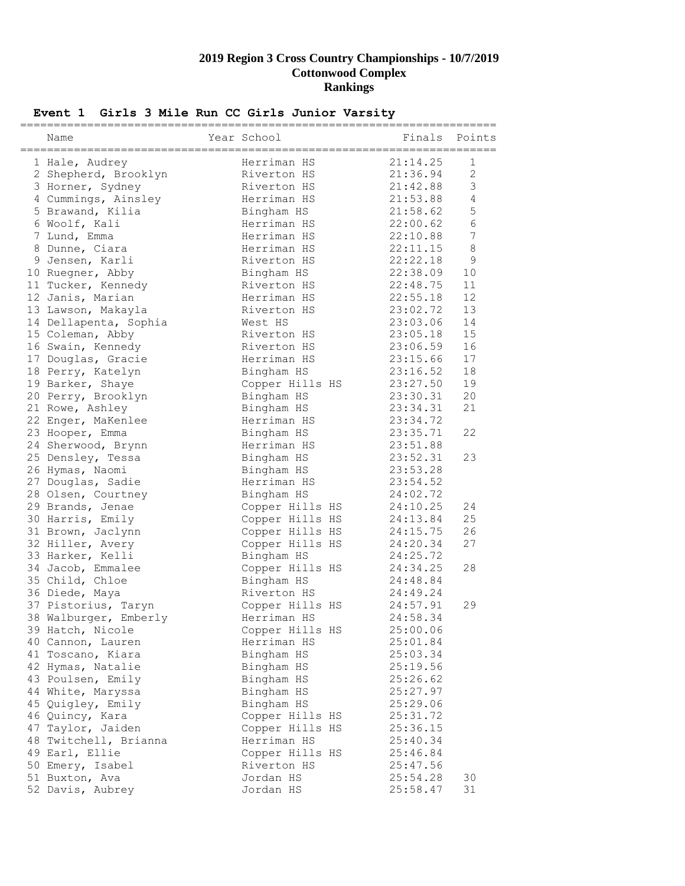| Event 1 Girls 3 Mile Run CC Girls Junior Varsity |  |
|--------------------------------------------------|--|
|--------------------------------------------------|--|

| Name                                        | Year School               |          | Finals Points  |
|---------------------------------------------|---------------------------|----------|----------------|
| 1 Hale, Audrey                              | Herriman HS               | 21:14.25 | 1              |
| 2 Shepherd, Brooklyn                        | Riverton HS               | 21:36.94 | $\overline{2}$ |
| 3 Horner, Sydney                            | Riverton HS               | 21:42.88 | 3              |
| 4 Cummings, Ainsley                         | Herriman HS               | 21:53.88 | $\overline{4}$ |
| 5 Brawand, Kilia                            | Bingham HS                | 21:58.62 | 5              |
| 6 Woolf, Kali                               | Herriman HS               | 22:00.62 | 6              |
| 7 Lund, Emma                                | Herriman HS               | 22:10.88 | 7              |
| 8 Dunne, Ciara                              | Herriman HS               | 22:11.15 | $\,8\,$        |
| 9 Jensen, Karli                             | Riverton HS               | 22:22.18 | 9              |
| 10 Ruegner, Abby                            | Bingham HS                | 22:38.09 | 10             |
| 11 Tucker, Kennedy                          | Riverton HS               | 22:48.75 | 11             |
| 12 Janis, Marian                            | Herriman HS               | 22:55.18 | 12             |
|                                             | Riverton HS               | 23:02.72 | 13             |
| 13 Lawson, Makayla<br>14 Dellapenta, Sophia | West HS                   | 23:03.06 | 14             |
| 15 Coleman, Abby                            | Riverton HS               | 23:05.18 | 15             |
|                                             | Riverton HS               | 23:06.59 | 16             |
| 16 Swain, Kennedy<br>17 Douglas, Gracie     | Herriman HS               | 23:15.66 | 17             |
|                                             |                           | 23:16.52 | 18             |
| 18 Perry, Katelyn                           | Bingham HS                | 23:27.50 | 19             |
| 19 Barker, Shaye                            | Copper Hills HS           |          | 20             |
| 20 Perry, Brooklyn                          | Bingham HS                | 23:30.31 | 21             |
| 21 Rowe, Ashley                             | Bingham HS<br>Herriman HS | 23:34.31 |                |
| 22 Enger, MaKenlee                          |                           | 23:34.72 |                |
| 23 Hooper, Emma                             | Bingham HS                | 23:35.71 | 22             |
| 24 Sherwood, Brynn                          | Herriman HS               | 23:51.88 |                |
| 25 Densley, Tessa                           | Bingham HS                | 23:52.31 | 23             |
| 26 Hymas, Naomi                             | Bingham HS                | 23:53.28 |                |
| 27 Douglas, Sadie                           | Herriman HS               | 23:54.52 |                |
| 28 Olsen, Courtney                          | Bingham HS                | 24:02.72 |                |
| 29 Brands, Jenae                            | Copper Hills HS           | 24:10.25 | 24             |
| 30 Harris, Emily                            | Copper Hills HS           | 24:13.84 | 25             |
| 31 Brown, Jaclynn                           | Copper Hills HS           | 24:15.75 | 26             |
| 32 Hiller, Avery                            | Copper Hills HS           | 24:20.34 | 27             |
| 33 Harker, Kelli                            | Bingham HS                | 24:25.72 |                |
| 34 Jacob, Emmalee                           | Copper Hills HS           | 24:34.25 | 28             |
| 35 Child, Chloe                             | Bingham HS                | 24:48.84 |                |
| 36 Diede, Maya                              | Riverton HS               | 24:49.24 |                |
| 37 Pistorius, Taryn                         | Copper Hills HS           | 24:57.91 | 29             |
| 38 Walburger, Emberly                       | Herriman HS               | 24:58.34 |                |
| 39 Hatch, Nicole                            | Copper Hills HS           | 25:00.06 |                |
| 40 Cannon, Lauren                           | Herriman HS               | 25:01.84 |                |
| 41 Toscano, Kiara                           | Bingham HS                | 25:03.34 |                |
| 42 Hymas, Natalie                           | Bingham HS                | 25:19.56 |                |
| 43 Poulsen, Emily                           | Bingham HS                | 25:26.62 |                |
| 44 White, Maryssa                           | Bingham HS                | 25:27.97 |                |
| 45 Quigley, Emily                           | Bingham HS                | 25:29.06 |                |
| 46 Quincy, Kara                             | Copper Hills HS           | 25:31.72 |                |
| 47 Taylor, Jaiden                           | Copper Hills HS           | 25:36.15 |                |
| 48 Twitchell, Brianna                       | Herriman HS               | 25:40.34 |                |
| 49 Earl, Ellie                              | Copper Hills HS           | 25:46.84 |                |
| 50 Emery, Isabel                            | Riverton HS               | 25:47.56 |                |
| 51 Buxton, Ava                              | Jordan HS                 | 25:54.28 | 30             |
| 52 Davis, Aubrey                            | Jordan HS                 | 25:58.47 | 31             |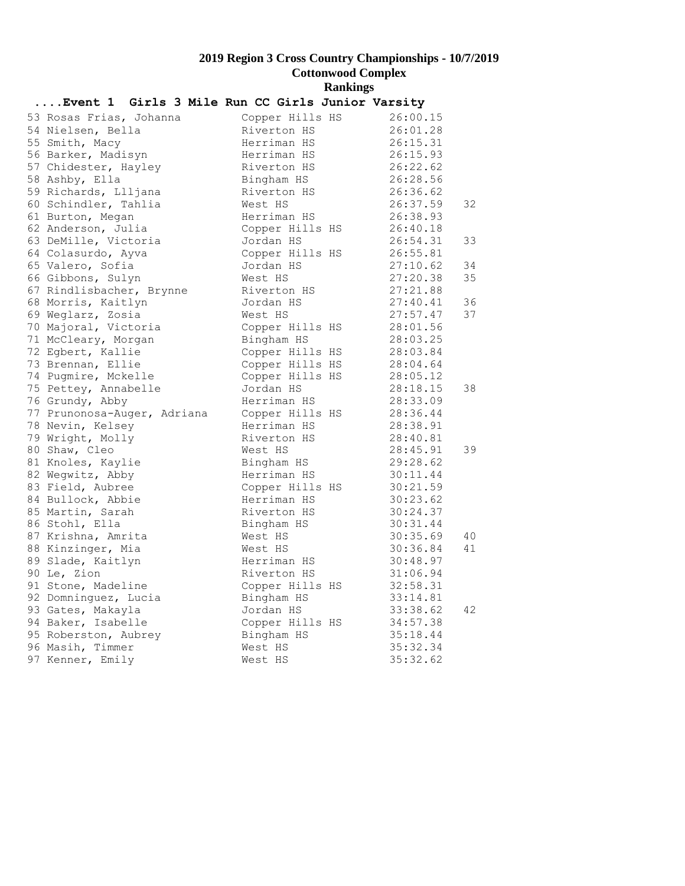| Event 1 Girls 3 Mile Run CC Girls Junior Varsity |                                             |                      |    |
|--------------------------------------------------|---------------------------------------------|----------------------|----|
| 53 Rosas Frias, Johanna                          | Copper Hills HS                             | 26:00.15             |    |
| 54 Nielsen, Bella                                | Riverton HS                                 | 26:01.28             |    |
| 55 Smith, Macy                                   |                                             | 26:15.31             |    |
| 56 Barker, Madisyn                               | Herriman HS<br>Herriman HS                  | 26:15.93             |    |
| 57 Chidester, Hayley                             |                                             |                      |    |
| 58 Ashby, Ella                                   | Riverton HS 26:22.62<br>Bingham HS 26:28.56 |                      |    |
| 59 Richards, Llljana                             | Riverton HS 26:36.62                        |                      |    |
| 60 Schindler, Tahlia                             | West HS                                     | 26:37.59             | 32 |
| 61 Burton, Megan                                 | Herriman HS                                 | 26:38.93             |    |
| 62 Anderson, Julia                               | Copper Hills HS 26:40.18                    |                      |    |
| 63 DeMille, Victoria                             | Jordan HS                                   | 26:54.31             | 33 |
| 64 Colasurdo, Ayva                               | Copper Hills HS 26:55.81                    |                      |    |
| 65 Valero, Sofia                                 | Jordan HS                                   | 27:10.62             | 34 |
| 66 Gibbons, Sulyn                                | West HS                                     | 27:20.38             | 35 |
| 67 Rindlisbacher, Brynne                         | Riverton HS 27:21.88                        |                      |    |
| 68 Morris, Kaitlyn                               | Jordan HS                                   | 27:40.41             | 36 |
| 69 Weglarz, Zosia                                | West HS                                     | 27:57.47             | 37 |
| 70 Majoral, Victoria                             | Copper Hills HS 28:01.56                    |                      |    |
| 71 McCleary, Morgan                              | Bingham HS                                  | 28:03.25             |    |
| 72 Egbert, Kallie                                | Copper Hills HS                             | 28:03.84             |    |
| 73 Brennan, Ellie                                | Copper Hills HS                             | 28:04.64             |    |
| 74 Pugmire, Mckelle                              | Copper Hills HS 28:05.12                    |                      |    |
| 75 Pettey, Annabelle                             | Jordan HS                                   | 28:18.15             | 38 |
| 76 Grundy, Abby                                  | Herriman HS                                 | 28:33.09             |    |
| 77 Prunonosa-Auger, Adriana                      | Copper Hills HS 28:36.44                    |                      |    |
| 78 Nevin, Kelsey                                 | Herriman HS                                 | 28:38.91             |    |
| 79 Wright, Molly                                 | Riverton HS                                 | 28:40.81             |    |
| 80 Shaw, Cleo                                    | West HS                                     |                      | 39 |
| 81 Knoles, Kaylie                                | Bingham HS                                  | 28:45.91<br>29:28.62 |    |
| 82 Wegwitz, Abby                                 | Herriman HS                                 | 30:11.44             |    |
| 83 Field, Aubree                                 | Copper Hills HS                             | 30:21.59             |    |
| 84 Bullock, Abbie                                | Herriman HS                                 | 30:23.62             |    |
| 85 Martin, Sarah                                 | Riverton HS                                 | 30:24.37             |    |
| 86 Stohl, Ella                                   | Bingham HS                                  | 30:31.44             |    |
| 87 Krishna, Amrita                               | West HS                                     | 30:35.69             | 40 |
| 88 Kinzinger, Mia                                | West HS                                     | 30:36.84             | 41 |
| 89 Slade, Kaitlyn                                | Herriman HS                                 | 30:48.97             |    |
| 90 Le, Zion                                      | Riverton HS                                 | 31:06.94             |    |
| 91 Stone, Madeline                               | Copper Hills HS                             | 32:58.31             |    |
| 92 Domninguez, Lucia                             | Bingham HS                                  | 33:14.81             |    |
| 93 Gates, Makayla                                | Jordan HS                                   | 33:38.62             | 42 |
| 94 Baker, Isabelle                               | Copper Hills HS                             | 34:57.38             |    |
| 95 Roberston, Aubrey                             | Bingham HS                                  | 35:18.44             |    |
| 96 Masih, Timmer                                 | West HS                                     | 35:32.34             |    |
| 97 Kenner, Emily                                 | West HS                                     | 35:32.62             |    |
|                                                  |                                             |                      |    |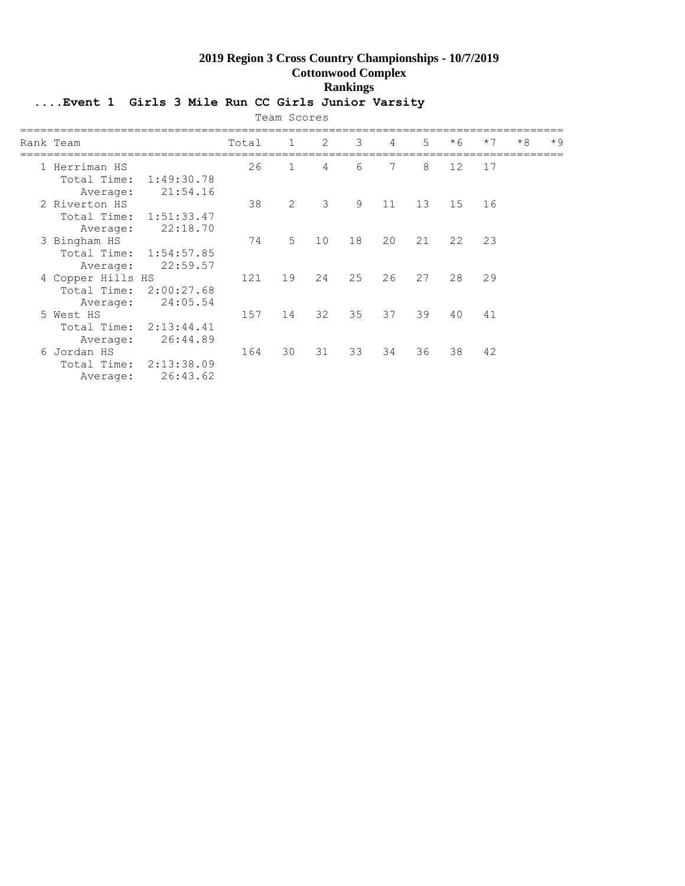## **....Event 1 Girls 3 Mile Run CC Girls Junior Varsity**

|                                                 |                                    |       | Team Scores  |    |    |    |             |      |      |      |      |
|-------------------------------------------------|------------------------------------|-------|--------------|----|----|----|-------------|------|------|------|------|
| Rank Team                                       |                                    | Total | $\mathbf{1}$ | 2  | 3  | 4  | $5^{\circ}$ | $*6$ | $*7$ | $*8$ | $*9$ |
| 1 Herriman HS<br>Total Time:<br>Average:        | 1:49:30.78<br>21:54.16             | 26    | $\mathbf{1}$ | 4  | 6  | 7  | 8           | 12   | 17   |      |      |
| 2 Riverton HS<br>Total Time:<br>Average:        | 1:51:33.47<br>22:18.70             | 38    | 2            | 3  | 9  | 11 | 13          | 15   | 16   |      |      |
| 3 Bingham HS<br>Total Time:<br>Average:         | 1:54:57.85<br>22:59.57             | 74    | 5            | 10 | 18 | 20 | 21          | 22   | 23   |      |      |
| 4 Copper Hills HS<br>Total Time:<br>Average:    | 2:00:27.68<br>24:05.54             | 121   | 19           | 24 | 25 | 26 | 27          | 28   | 29   |      |      |
| 5 West HS<br>Total Time: 2:13:44.41<br>Average: | 26:44.89                           | 157   | 14           | 32 | 35 | 37 | 39          | 40   | 41   |      |      |
| 6 Jordan HS<br>Average:                         | Total Time: 2:13:38.09<br>26:43.62 | 164   | 30           | 31 | 33 | 34 | 36          | 38   | 42   |      |      |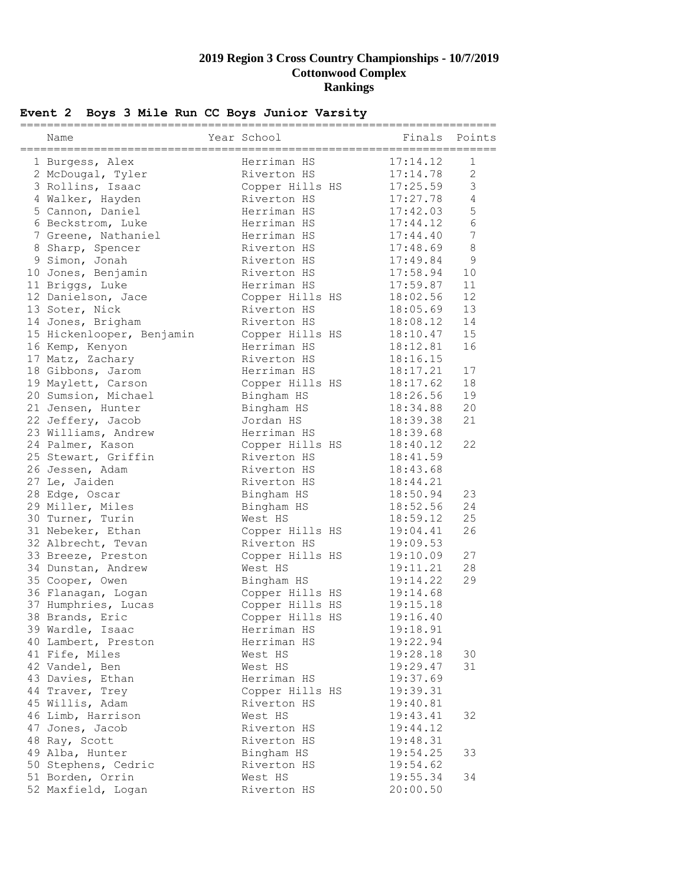|  |  |  |  | Event 2 Boys 3 Mile Run CC Boys Junior Varsity |
|--|--|--|--|------------------------------------------------|
|  |  |  |  |                                                |

| Name                      | Year School     | ======   | Finals Points  |
|---------------------------|-----------------|----------|----------------|
| 1 Burgess, Alex           | Herriman HS     | 17:14.12 | $\mathbf{1}$   |
| 2 McDougal, Tyler         | Riverton HS     | 17:14.78 | 2              |
| 3 Rollins, Isaac          | Copper Hills HS | 17:25.59 | $\mathfrak{Z}$ |
| 4 Walker, Hayden          | Riverton HS     | 17:27.78 | 4              |
| 5 Cannon, Daniel          | Herriman HS     | 17:42.03 | $\mathsf S$    |
| 6 Beckstrom, Luke         | Herriman HS     | 17:44.12 | $\sqrt{6}$     |
| 7 Greene, Nathaniel       | Herriman HS     | 17:44.40 | 7              |
| 8 Sharp, Spencer          | Riverton HS     | 17:48.69 | $\,8\,$        |
| 9 Simon, Jonah            | Riverton HS     | 17:49.84 | $\mathsf 9$    |
| 10 Jones, Benjamin        | Riverton HS     | 17:58.94 | 10             |
| 11 Briggs, Luke           | Herriman HS     | 17:59.87 | 11             |
| 12 Danielson, Jace        | Copper Hills HS | 18:02.56 | 12             |
| 13 Soter, Nick            | Riverton HS     | 18:05.69 | 13             |
| 14 Jones, Brigham         | Riverton HS     | 18:08.12 | 14             |
| 15 Hickenlooper, Benjamin | Copper Hills HS | 18:10.47 | 15             |
| 16 Kemp, Kenyon           | Herriman HS     | 18:12.81 | 16             |
| 17 Matz, Zachary          | Riverton HS     | 18:16.15 |                |
| 18 Gibbons, Jarom         | Herriman HS     | 18:17.21 | 17             |
| 19 Maylett, Carson        | Copper Hills HS | 18:17.62 | 18             |
| 20 Sumsion, Michael       | Bingham HS      | 18:26.56 | 19             |
| 21 Jensen, Hunter         | Bingham HS      | 18:34.88 | 20             |
| 22 Jeffery, Jacob         | Jordan HS       | 18:39.38 | 21             |
| 23 Williams, Andrew       | Herriman HS     | 18:39.68 |                |
| 24 Palmer, Kason          | Copper Hills HS | 18:40.12 | 22             |
| 25 Stewart, Griffin       | Riverton HS     | 18:41.59 |                |
| 26 Jessen, Adam           | Riverton HS     | 18:43.68 |                |
| 27 Le, Jaiden             | Riverton HS     | 18:44.21 |                |
| 28 Edge, Oscar            | Bingham HS      | 18:50.94 | 23             |
| 29 Miller, Miles          | Bingham HS      | 18:52.56 | 24             |
| 30 Turner, Turin          | West HS         | 18:59.12 | 25             |
| 31 Nebeker, Ethan         | Copper Hills HS | 19:04.41 | 26             |
| 32 Albrecht, Tevan        | Riverton HS     | 19:09.53 |                |
| 33 Breeze, Preston        | Copper Hills HS | 19:10.09 | 27             |
| 34 Dunstan, Andrew        | West HS         | 19:11.21 | 28             |
| 35 Cooper, Owen           | Bingham HS      | 19:14.22 | 29             |
| 36 Flanagan, Logan        | Copper Hills HS | 19:14.68 |                |
| 37 Humphries, Lucas       | Copper Hills HS | 19:15.18 |                |
| 38 Brands, Eric           | Copper Hills HS | 19:16.40 |                |
| 39 Wardle, Isaac          | Herriman HS     | 19:18.91 |                |
| 40 Lambert, Preston       | Herriman HS     | 19:22.94 |                |
| 41 Fife, Miles            | West HS         | 19:28.18 | 30             |
| 42 Vandel, Ben            | West HS         | 19:29.47 | 31             |
| 43 Davies, Ethan          | Herriman HS     | 19:37.69 |                |
| 44 Traver, Trey           | Copper Hills HS | 19:39.31 |                |
| 45 Willis, Adam           | Riverton HS     | 19:40.81 |                |
| 46 Limb, Harrison         | West HS         | 19:43.41 | 32             |
| 47 Jones, Jacob           | Riverton HS     | 19:44.12 |                |
| 48 Ray, Scott             | Riverton HS     | 19:48.31 |                |
| 49 Alba, Hunter           | Bingham HS      | 19:54.25 | 33             |
| 50 Stephens, Cedric       | Riverton HS     | 19:54.62 |                |
| 51 Borden, Orrin          | West HS         | 19:55.34 | 34             |
| 52 Maxfield, Logan        | Riverton HS     | 20:00.50 |                |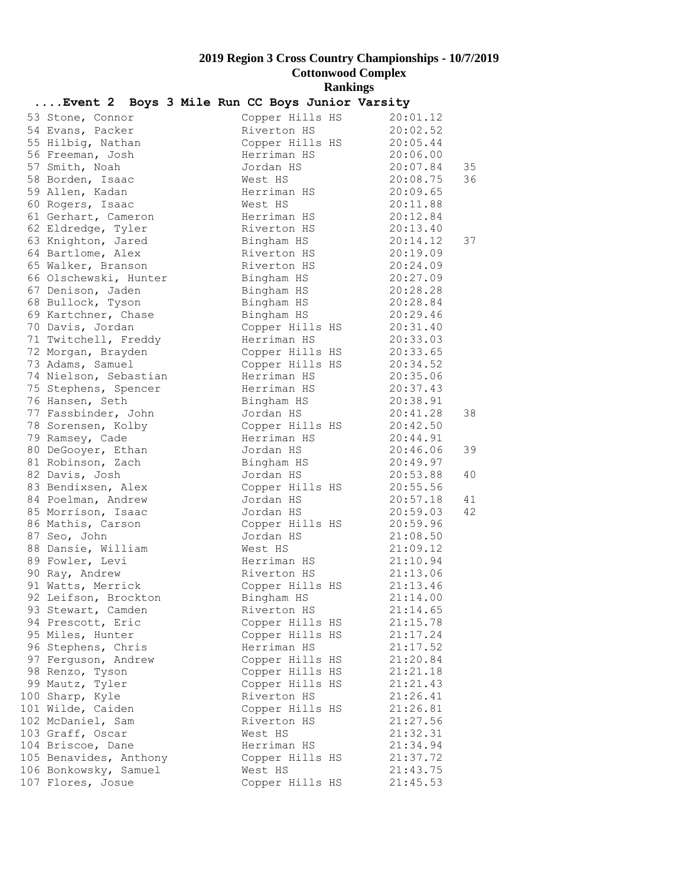| Event 2 Boys 3 Mile Run CC Boys Junior Varsity |         |                 |          |    |
|------------------------------------------------|---------|-----------------|----------|----|
| 53 Stone, Connor                               |         | Copper Hills HS | 20:01.12 |    |
| 54 Evans, Packer                               |         | Riverton HS     | 20:02.52 |    |
| 55 Hilbig, Nathan                              |         | Copper Hills HS | 20:05.44 |    |
| 56 Freeman, Josh                               |         | Herriman HS     | 20:06.00 |    |
| 57 Smith, Noah                                 |         | Jordan HS       | 20:07.84 | 35 |
| 58 Borden, Isaac                               | West HS |                 | 20:08.75 | 36 |
| 59 Allen, Kadan                                |         | Herriman HS     | 20:09.65 |    |
| 60 Rogers, Isaac                               | West HS |                 | 20:11.88 |    |
| 61 Gerhart, Cameron                            |         | Herriman HS     | 20:12.84 |    |
| 62 Eldredge, Tyler                             |         | Riverton HS     | 20:13.40 |    |
| 63 Knighton, Jared                             |         | Bingham HS      | 20:14.12 | 37 |
| 64 Bartlome, Alex                              |         | Riverton HS     | 20:19.09 |    |
| 65 Walker, Branson                             |         | Riverton HS     | 20:24.09 |    |
| 66 Olschewski, Hunter                          |         | Bingham HS      | 20:27.09 |    |
| 67 Denison, Jaden                              |         | Bingham HS      | 20:28.28 |    |
| 68 Bullock, Tyson                              |         | Bingham HS      | 20:28.84 |    |
| 69 Kartchner, Chase                            |         | Bingham HS      | 20:29.46 |    |
| 70 Davis, Jordan                               |         | Copper Hills HS | 20:31.40 |    |
| 71 Twitchell, Freddy                           |         | Herriman HS     | 20:33.03 |    |
| 72 Morgan, Brayden                             |         | Copper Hills HS | 20:33.65 |    |
| 73 Adams, Samuel                               |         | Copper Hills HS | 20:34.52 |    |
| 74 Nielson, Sebastian                          |         | Herriman HS     | 20:35.06 |    |
| 75 Stephens, Spencer                           |         | Herriman HS     | 20:37.43 |    |
| 76 Hansen, Seth                                |         | Bingham HS      | 20:38.91 |    |
| 77 Fassbinder, John                            |         | Jordan HS       | 20:41.28 | 38 |
| 78 Sorensen, Kolby                             |         | Copper Hills HS | 20:42.50 |    |
| 79 Ramsey, Cade                                |         | Herriman HS     | 20:44.91 |    |
| 80 DeGooyer, Ethan                             |         | Jordan HS       | 20:46.06 | 39 |
| 81 Robinson, Zach                              |         | Bingham HS      | 20:49.97 |    |
| 82 Davis, Josh                                 |         | Jordan HS       | 20:53.88 | 40 |
| 83 Bendixsen, Alex                             |         | Copper Hills HS | 20:55.56 |    |
| 84 Poelman, Andrew                             |         | Jordan HS       | 20:57.18 | 41 |
| 85 Morrison, Isaac                             |         | Jordan HS       | 20:59.03 | 42 |
| 86 Mathis, Carson                              |         | Copper Hills HS | 20:59.96 |    |
| 87 Seo, John                                   |         | Jordan HS       | 21:08.50 |    |
| 88 Dansie, William                             | West HS |                 | 21:09.12 |    |
| 89 Fowler, Levi                                |         | Herriman HS     | 21:10.94 |    |
| 90 Ray, Andrew                                 |         | Riverton HS     | 21:13.06 |    |
| 91 Watts, Merrick                              |         | Copper Hills HS | 21:13.46 |    |
| 92 Leifson, Brockton                           |         | Bingham HS      | 21:14.00 |    |
| 93 Stewart, Camden                             |         | Riverton HS     | 21:14.65 |    |
| 94 Prescott, Eric                              |         | Copper Hills HS | 21:15.78 |    |
| 95 Miles, Hunter                               |         | Copper Hills HS | 21:17.24 |    |
| 96 Stephens, Chris                             |         | Herriman HS     | 21:17.52 |    |
| 97 Ferguson, Andrew                            |         | Copper Hills HS | 21:20.84 |    |
| 98 Renzo, Tyson                                |         | Copper Hills HS | 21:21.18 |    |
| 99 Mautz, Tyler                                |         | Copper Hills HS | 21:21.43 |    |
| 100 Sharp, Kyle                                |         | Riverton HS     | 21:26.41 |    |
| 101 Wilde, Caiden                              |         | Copper Hills HS | 21:26.81 |    |
| 102 McDaniel, Sam                              |         | Riverton HS     | 21:27.56 |    |
| 103 Graff, Oscar                               | West HS |                 | 21:32.31 |    |
| 104 Briscoe, Dane                              |         | Herriman HS     | 21:34.94 |    |
| 105 Benavides, Anthony                         |         | Copper Hills HS | 21:37.72 |    |
| 106 Bonkowsky, Samuel                          | West HS |                 | 21:43.75 |    |
| 107 Flores, Josue                              |         | Copper Hills HS | 21:45.53 |    |
|                                                |         |                 |          |    |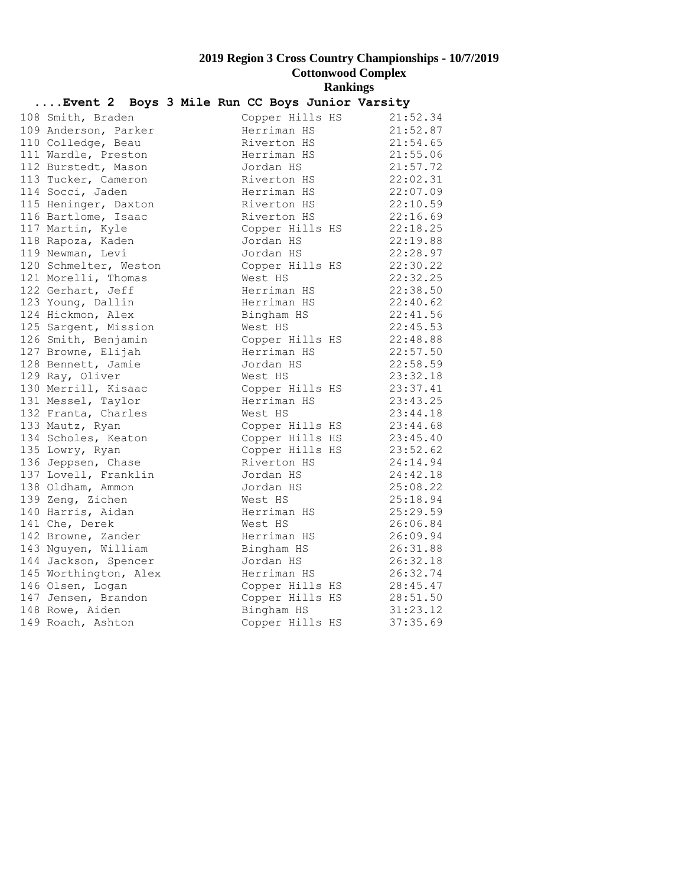| Event 2 Boys 3 Mile Run CC Boys Junior Varsity |  |         |                                |  |                                                              |  |
|------------------------------------------------|--|---------|--------------------------------|--|--------------------------------------------------------------|--|
| 108 Smith, Braden                              |  |         | Copper Hills HS                |  | 21:52.34                                                     |  |
| 109 Anderson, Parker                           |  |         | Herriman HS                    |  | 21:52.87                                                     |  |
| 110 Colledge, Beau                             |  |         |                                |  | Riverton HS 21:54.65                                         |  |
| 111 Wardle, Preston                            |  |         |                                |  | Herriman HS $21:55.06$                                       |  |
| 112 Burstedt, Mason                            |  |         | Jordan HS                      |  | 21:57.72                                                     |  |
| 113 Tucker, Cameron                            |  |         |                                |  | Riverton HS 22:02.31                                         |  |
| 114 Socci, Jaden                               |  |         |                                |  | Herriman HS 22:07.09                                         |  |
| 115 Heninger, Daxton                           |  |         | Riverton HS<br>Riverton HS     |  | 22:10.59                                                     |  |
| 116 Bartlome, Isaac                            |  |         |                                |  | 22:16.69                                                     |  |
| 117 Martin, Kyle                               |  |         |                                |  | Copper Hills HS 22:18.25                                     |  |
| 118 Rapoza, Kaden                              |  |         | Jordan HS                      |  | $22:19.88$<br>$22:28.97$                                     |  |
| 119 Newman, Levi                               |  |         | Jordan HS                      |  | 22:28.97                                                     |  |
| 120 Schmelter, Weston                          |  |         |                                |  | Copper Hills HS $22:30.22$                                   |  |
| 121 Morelli, Thomas                            |  | West HS |                                |  | 22:32.25                                                     |  |
| 122 Gerhart, Jeff                              |  |         | Herriman HS                    |  | 22:38.50<br>22:40.62                                         |  |
| 123 Young, Dallin                              |  |         | Herriman HS                    |  |                                                              |  |
| 124 Hickmon, Alex                              |  |         | Bingham HS                     |  | 22:41.56                                                     |  |
| 125 Sargent, Mission                           |  | West HS |                                |  | 22:45.53                                                     |  |
| 126 Smith, Benjamin                            |  |         | Copper Hills HS<br>Herriman HS |  | 22:48.88                                                     |  |
| 127 Browne, Elijah                             |  |         |                                |  | 22:57.50<br>$\frac{22:57.50}{22:58.59}$                      |  |
| 128 Bennett, Jamie                             |  |         | Jordan HS                      |  |                                                              |  |
| 129 Ray, Oliver                                |  | West HS |                                |  | 23:32.18                                                     |  |
| 130 Merrill, Kisaac                            |  |         |                                |  | 23:37.41<br>Copper Hills HS 23:37.41<br>Herriman HS 23:43.25 |  |
| 131 Messel, Taylor                             |  |         |                                |  |                                                              |  |
| 132 Franta, Charles                            |  | West HS |                                |  | 23:44.18                                                     |  |
| 133 Mautz, Ryan                                |  |         |                                |  | Copper Hills HS 23:44.68<br>Copper Hills HS 23:45.40         |  |
| 134 Scholes, Keaton                            |  |         |                                |  |                                                              |  |
| 135 Lowry, Ryan                                |  |         |                                |  | Copper Hills HS 23:52.62                                     |  |
| 136 Jeppsen, Chase                             |  |         |                                |  | Riverton HS 24:14.94                                         |  |
| 137 Lovell, Franklin                           |  |         | Jordan HS                      |  | 24:42.18                                                     |  |
| 138 Oldham, Ammon                              |  |         | Jordan HS                      |  | 25:08.22                                                     |  |
| 139 Zeng, Zichen                               |  | West HS |                                |  | 25:18.94                                                     |  |
| 140 Harris, Aidan                              |  |         | Herriman HS                    |  | 25:29.59                                                     |  |
| 141 Che, Derek                                 |  | West HS |                                |  | 26:06.84<br>Herriman HS 26:09.94                             |  |
| 142 Browne, Zander                             |  |         |                                |  |                                                              |  |
| 143 Nguyen, William                            |  |         |                                |  | Bingham HS 26:31.88                                          |  |
| 144 Jackson, Spencer                           |  |         | Jordan HS                      |  | 26:32.18                                                     |  |
| 145 Worthington, Alex                          |  |         | Herriman HS                    |  | 26:32.74<br>Copper Hills HS 28:45.47                         |  |
| 146 Olsen, Logan                               |  |         |                                |  |                                                              |  |
| 147 Jensen, Brandon<br>148 Rowe, Aiden         |  |         |                                |  | Copper Hills HS $28:51.50$<br>31:23.12                       |  |
|                                                |  |         | Bingham HS                     |  | Copper Hills HS 37:35.69                                     |  |
| 149 Roach, Ashton                              |  |         |                                |  |                                                              |  |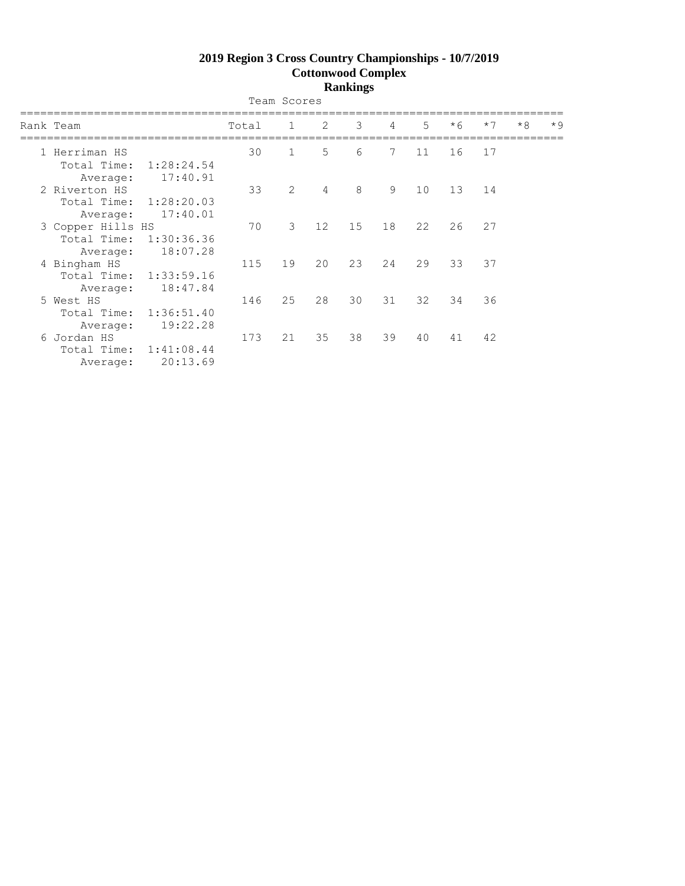|                                                     |                                    |       | Team Scores  |    |    |    |             |      |      |      |      |
|-----------------------------------------------------|------------------------------------|-------|--------------|----|----|----|-------------|------|------|------|------|
| Rank Team                                           |                                    | Total | $\mathbf{1}$ | 2  | 3  | 4  | $5^{\circ}$ | $*6$ | $*7$ | $*8$ | $*9$ |
| 1 Herriman HS<br>Total Time:<br>Average:            | 1:28:24.54<br>17:40.91             | 30    | $\mathbf{1}$ | 5  | 6  | 7  | 11          | 16   | 17   |      |      |
| 2 Riverton HS<br>Total Time: 1:28:20.03<br>Average: | 17:40.01                           | 33    | 2            | 4  | 8  | 9  | 10          | 13   | 14   |      |      |
| 3 Copper Hills HS<br>Total Time:<br>Average:        | 1:30:36.36<br>18:07.28             | 70    | 3            | 12 | 15 | 18 | 22          | 26   | 27   |      |      |
| 4 Bingham HS<br>Average:                            | Total Time: 1:33:59.16<br>18:47.84 | 115   | 19           | 20 | 23 | 24 | 29          | 33   | 37   |      |      |
| 5 West HS<br>Total Time: 1:36:51.40<br>Average:     | 19:22.28                           | 146   | 25           | 28 | 30 | 31 | 32          | 34   | 36   |      |      |
| 6 Jordan HS<br>Average:                             | Total Time: 1:41:08.44<br>20:13.69 | 173   | 21           | 35 | 38 | 39 | 40          | 41   | 42   |      |      |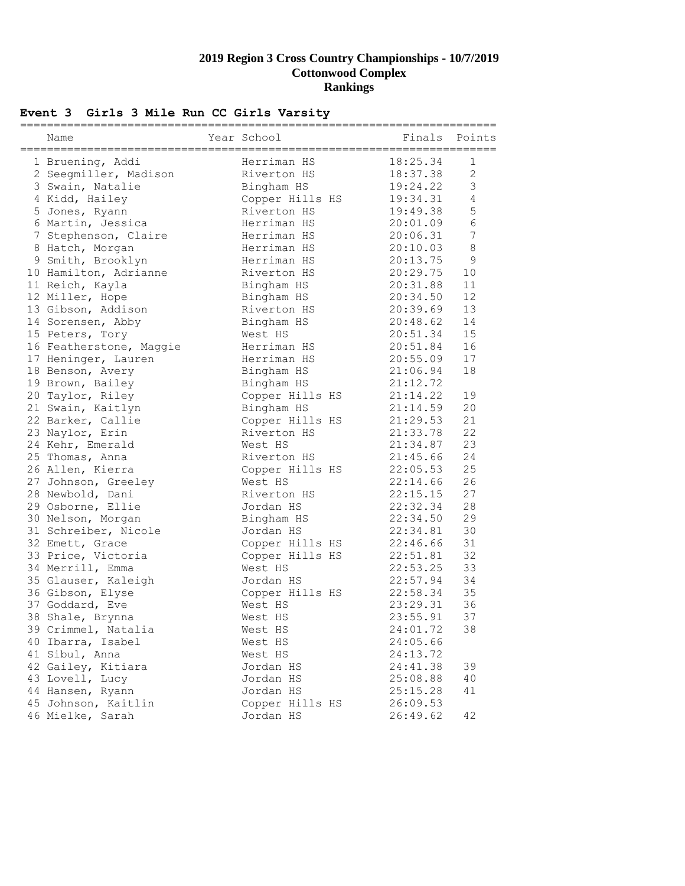### **Event 3 Girls 3 Mile Run CC Girls Varsity**

| Name                    | Year School     |          | Finals Points  |
|-------------------------|-----------------|----------|----------------|
| 1 Bruening, Addi        | Herriman HS     | 18:25.34 | 1              |
| 2 Seegmiller, Madison   | Riverton HS     | 18:37.38 | $\mathbf{2}$   |
| 3 Swain, Natalie        | Bingham HS      | 19:24.22 | 3              |
| 4 Kidd, Hailey          | Copper Hills HS | 19:34.31 | $\overline{4}$ |
| 5 Jones, Ryann          | Riverton HS     | 19:49.38 | 5              |
| 6 Martin, Jessica       | Herriman HS     | 20:01.09 | $\sqrt{6}$     |
| 7 Stephenson, Claire    | Herriman HS     | 20:06.31 | 7              |
| 8 Hatch, Morgan         | Herriman HS     | 20:10.03 | $\,8\,$        |
| 9 Smith, Brooklyn       | Herriman HS     | 20:13.75 | 9              |
| 10 Hamilton, Adrianne   | Riverton HS     | 20:29.75 | 10             |
| 11 Reich, Kayla         | Bingham HS      | 20:31.88 | 11             |
| 12 Miller, Hope         | Bingham HS      | 20:34.50 | 12             |
| 13 Gibson, Addison      | Riverton HS     | 20:39.69 | 13             |
| 14 Sorensen, Abby       | Bingham HS      | 20:48.62 | 14             |
| 15 Peters, Tory         | West HS         | 20:51.34 | 15             |
| 16 Featherstone, Maggie | Herriman HS     | 20:51.84 | 16             |
| 17 Heninger, Lauren     | Herriman HS     | 20:55.09 | 17             |
| 18 Benson, Avery        | Bingham HS      | 21:06.94 | 18             |
| 19 Brown, Bailey        | Bingham HS      | 21:12.72 |                |
| 20 Taylor, Riley        | Copper Hills HS | 21:14.22 | 19             |
| 21 Swain, Kaitlyn       | Bingham HS      | 21:14.59 | 20             |
| 22 Barker, Callie       | Copper Hills HS | 21:29.53 | 21             |
| 23 Naylor, Erin         | Riverton HS     | 21:33.78 | 22             |
| 24 Kehr, Emerald        | West HS         | 21:34.87 | 23             |
| 25 Thomas, Anna         | Riverton HS     | 21:45.66 | 24             |
| 26 Allen, Kierra        | Copper Hills HS | 22:05.53 | 25             |
| 27 Johnson, Greeley     | West HS         | 22:14.66 | 26             |
| 28 Newbold, Dani        | Riverton HS     | 22:15.15 | 27             |
| 29 Osborne, Ellie       | Jordan HS       | 22:32.34 | 28             |
| 30 Nelson, Morgan       | Bingham HS      | 22:34.50 | 29             |
| 31 Schreiber, Nicole    | Jordan HS       | 22:34.81 | 30             |
| 32 Emett, Grace         | Copper Hills HS | 22:46.66 | 31             |
| 33 Price, Victoria      | Copper Hills HS | 22:51.81 | 32             |
| 34 Merrill, Emma        | West HS         | 22:53.25 | 33             |
| 35 Glauser, Kaleigh     | Jordan HS       | 22:57.94 | 34             |
| 36 Gibson, Elyse        | Copper Hills HS | 22:58.34 | 35             |
| 37 Goddard, Eve         | West HS         | 23:29.31 | 36             |
| 38 Shale, Brynna        | West HS         | 23:55.91 | 37             |
| 39 Crimmel, Natalia     | West HS         | 24:01.72 | 38             |
| 40 Ibarra, Isabel       | West HS         | 24:05.66 |                |
| 41 Sibul, Anna          | West HS         | 24:13.72 |                |
| 42 Gailey, Kitiara      | Jordan HS       | 24:41.38 | 39             |
| 43 Lovell, Lucy         | Jordan HS       | 25:08.88 | 40             |
| 44 Hansen, Ryann        | Jordan HS       | 25:15.28 | 41             |
| 45 Johnson, Kaitlin     | Copper Hills HS | 26:09.53 |                |
| 46 Mielke, Sarah        | Jordan HS       | 26:49.62 | 42             |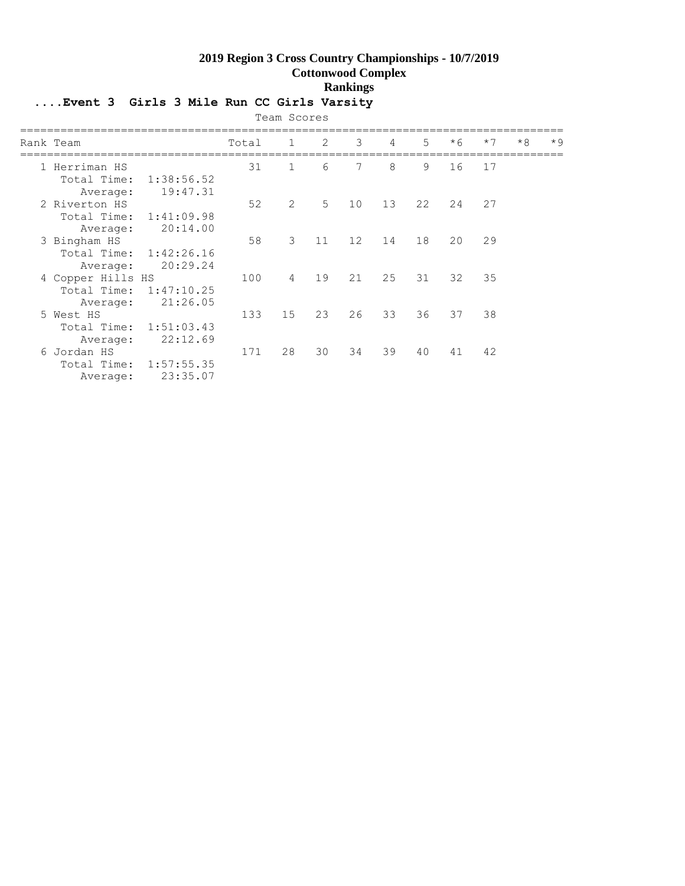## **....Event 3 Girls 3 Mile Run CC Girls Varsity**

| Team Scores                                  |                                    |       |                |    |    |                |    |      |      |      |      |
|----------------------------------------------|------------------------------------|-------|----------------|----|----|----------------|----|------|------|------|------|
| Rank Team                                    |                                    | Total | $\mathbf{1}$   | 2  | 3  | $\overline{4}$ | 5  | $*6$ | $*7$ | $*8$ | $*9$ |
| 1 Herriman HS<br>Total Time:<br>Average:     | 1:38:56.52<br>19:47.31             | 31    | $\mathbf{1}$   | 6  | 7  | 8              | 9  | 16   | 17   |      |      |
| 2 Riverton HS<br>Average:                    | Total Time: 1:41:09.98<br>20:14.00 | 52    | 2              | 5  | 10 | 13             | 22 | 24   | 27   |      |      |
| 3 Bingham HS<br>Total Time:<br>Average:      | 1:42:26.16<br>20:29.24             | 58    | 3              | 11 | 12 | 14             | 18 | 20   | 29   |      |      |
| 4 Copper Hills HS<br>Total Time:<br>Average: | 1:47:10.25<br>21:26.05             | 100   | $\overline{4}$ | 19 | 21 | 25             | 31 | 32   | 35   |      |      |
| 5 West HS<br>Average:                        | Total Time: 1:51:03.43<br>22:12.69 | 133   | 15             | 23 | 26 | 33             | 36 | 37   | 38   |      |      |
| 6 Jordan HS<br>Average:                      | Total Time: 1:57:55.35<br>23:35.07 | 171   | 28             | 30 | 34 | 39             | 40 | 41   | 42   |      |      |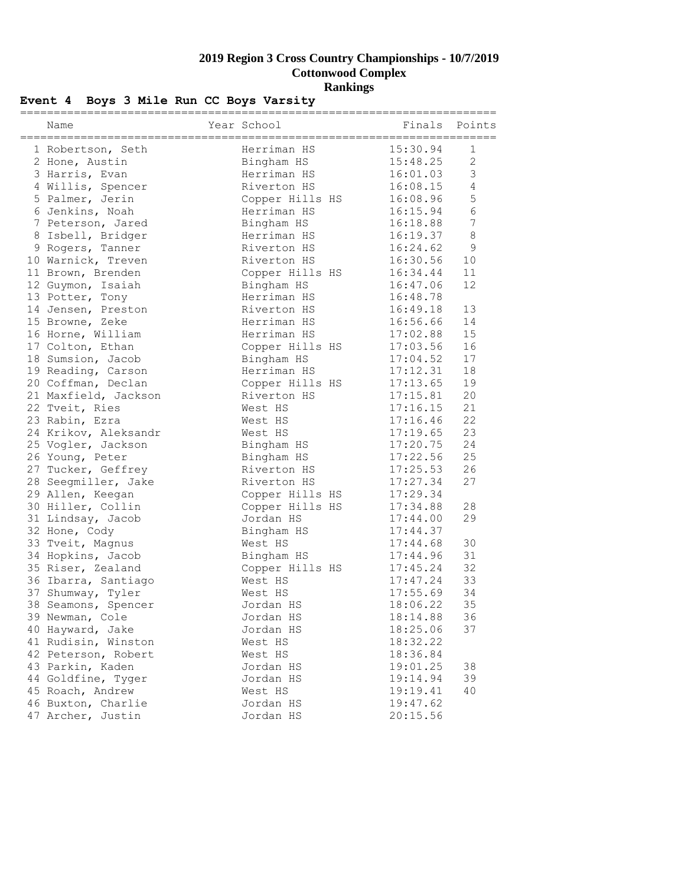## **Event 4 Boys 3 Mile Run CC Boys Varsity**

| Name                 | Year School     | Finals   | Points         |
|----------------------|-----------------|----------|----------------|
| 1 Robertson, Seth    | Herriman HS     | 15:30.94 | 1              |
| 2 Hone, Austin       | Bingham HS      | 15:48.25 | $\overline{2}$ |
| 3 Harris, Evan       | Herriman HS     | 16:01.03 | 3              |
| 4 Willis, Spencer    | Riverton HS     | 16:08.15 | $\overline{4}$ |
| 5 Palmer, Jerin      | Copper Hills HS | 16:08.96 | 5              |
| 6 Jenkins, Noah      | Herriman HS     | 16:15.94 | $\sqrt{6}$     |
| 7 Peterson, Jared    | Bingham HS      | 16:18.88 | 7              |
| 8 Isbell, Bridger    | Herriman HS     | 16:19.37 | $\,8\,$        |
| 9 Rogers, Tanner     | Riverton HS     | 16:24.62 | $\mathsf 9$    |
| 10 Warnick, Treven   | Riverton HS     | 16:30.56 | 10             |
| 11 Brown, Brenden    | Copper Hills HS | 16:34.44 | 11             |
| 12 Guymon, Isaiah    | Bingham HS      | 16:47.06 | 12             |
| 13 Potter, Tony      | Herriman HS     | 16:48.78 |                |
| 14 Jensen, Preston   | Riverton HS     | 16:49.18 | 13             |
| 15 Browne, Zeke      | Herriman HS     | 16:56.66 | 14             |
| 16 Horne, William    | Herriman HS     | 17:02.88 | 15             |
| 17 Colton, Ethan     | Copper Hills HS | 17:03.56 | 16             |
| 18 Sumsion, Jacob    | Bingham HS      | 17:04.52 | 17             |
| 19 Reading, Carson   | Herriman HS     | 17:12.31 | 18             |
| 20 Coffman, Declan   | Copper Hills HS | 17:13.65 | 19             |
| 21 Maxfield, Jackson | Riverton HS     | 17:15.81 | 20             |
| 22 Tveit, Ries       | West HS         | 17:16.15 | 21             |
| 23 Rabin, Ezra       | West HS         | 17:16.46 | 22             |
| 24 Krikov, Aleksandr | West HS         | 17:19.65 | 23             |
| 25 Vogler, Jackson   | Bingham HS      | 17:20.75 | 24             |
| 26 Young, Peter      | Bingham HS      | 17:22.56 | 25             |
| 27 Tucker, Geffrey   | Riverton HS     | 17:25.53 | 26             |
| 28 Seegmiller, Jake  | Riverton HS     | 17:27.34 | 27             |
| 29 Allen, Keegan     | Copper Hills HS | 17:29.34 |                |
| 30 Hiller, Collin    | Copper Hills HS | 17:34.88 | 28             |
| 31 Lindsay, Jacob    | Jordan HS       | 17:44.00 | 29             |
| 32 Hone, Cody        | Bingham HS      | 17:44.37 |                |
| 33 Tveit, Magnus     | West HS         | 17:44.68 | 30             |
| 34 Hopkins, Jacob    | Bingham HS      | 17:44.96 | 31             |
| 35 Riser, Zealand    | Copper Hills HS | 17:45.24 | 32             |
| 36 Ibarra, Santiago  | West HS         | 17:47.24 | 33             |
| 37 Shumway, Tyler    | West HS         | 17:55.69 | 34             |
| 38 Seamons, Spencer  | Jordan HS       | 18:06.22 | 35             |
| 39 Newman, Cole      | Jordan HS       | 18:14.88 | 36             |
| 40 Hayward, Jake     | Jordan HS       | 18:25.06 | 37             |
| 41 Rudisin, Winston  | West HS         | 18:32.22 |                |
| 42 Peterson, Robert  | West HS         | 18:36.84 |                |
| 43 Parkin, Kaden     | Jordan HS       | 19:01.25 | 38             |
| 44 Goldfine, Tyger   | Jordan HS       | 19:14.94 | 39             |
| 45 Roach, Andrew     | West HS         | 19:19.41 | 40             |
| 46 Buxton, Charlie   | Jordan HS       | 19:47.62 |                |
| 47 Archer, Justin    | Jordan HS       | 20:15.56 |                |